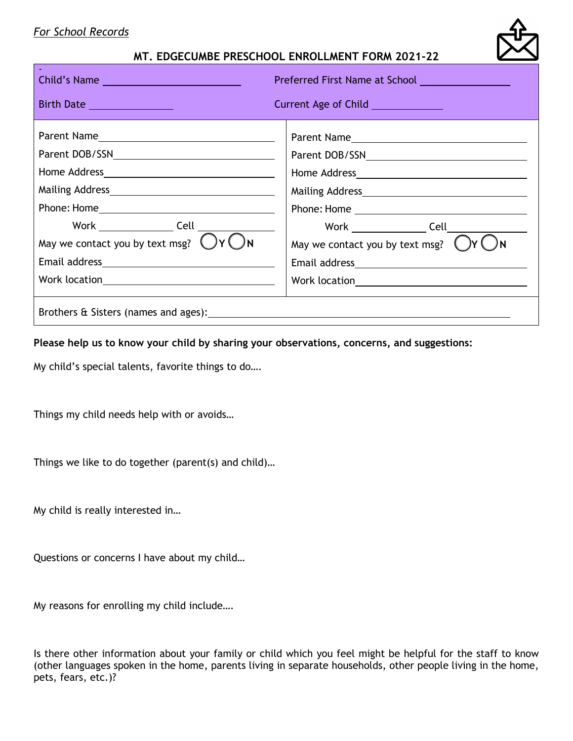### *For School Records*

### **MT. EDGECUMBE PRESCHOOL ENROLLMENT FORM 2021-22**

| Child's Name                                                                                                                                                                                                                                                                  | Preferred First Name at School <b>Constant Constant Constant Constant Constant Constant</b> |  |  |
|-------------------------------------------------------------------------------------------------------------------------------------------------------------------------------------------------------------------------------------------------------------------------------|---------------------------------------------------------------------------------------------|--|--|
| Birth Date                                                                                                                                                                                                                                                                    | Current Age of Child _____________                                                          |  |  |
| Work Cell Cell Contract Cell Contract of the Cell Cell Contract of the Cell Cell Contract of the Cell Contract of the Cell Contract of the Cell Contract of the Cell Contract of the Cell Contract of the Cell Contract of the<br>May we contact you by text msg? $\bigcup Y$ | Work ______________________Cell____________<br>May we contact you by text msg?              |  |  |
|                                                                                                                                                                                                                                                                               |                                                                                             |  |  |

**Please help us to know your child by sharing your observations, concerns, and suggestions:**

My child's special talents, favorite things to do….

Things my child needs help with or avoids…

Things we like to do together (parent(s) and child)…

My child is really interested in…

Questions or concerns I have about my child…

My reasons for enrolling my child include….

Is there other information about your family or child which you feel might be helpful for the staff to know (other languages spoken in the home, parents living in separate households, other people living in the home, pets, fears, etc.)?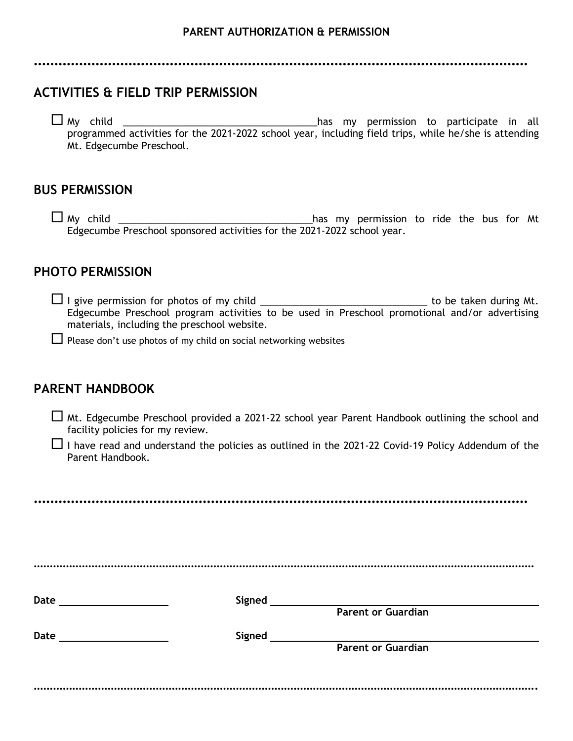**…………………………………………………………………………………………………………**

# **ACTIVITIES & FIELD TRIP PERMISSION**

 My child \_\_\_\_\_\_\_\_\_\_\_\_\_\_\_\_\_\_\_\_\_\_\_\_\_\_\_\_\_\_\_\_\_\_\_\_has my permission to participate in all programmed activities for the 2021-2022 school year, including field trips, while he/she is attending Mt. Edgecumbe Preschool.

## **BUS PERMISSION**

 My child \_\_\_\_\_\_\_\_\_\_\_\_\_\_\_\_\_\_\_\_\_\_\_\_\_\_\_\_\_\_\_\_\_\_\_\_has my permission to ride the bus for Mt Edgecumbe Preschool sponsored activities for the 2021-2022 school year.

# **PHOTO PERMISSION**

- I give permission for photos of my child \_\_\_\_\_\_\_\_\_\_\_\_\_\_\_\_\_\_\_\_\_\_\_\_\_\_\_\_\_\_\_ to be taken during Mt. Edgecumbe Preschool program activities to be used in Preschool promotional and/or advertising materials, including the preschool website.
- $\Box$  Please don't use photos of my child on social networking websites

# **PARENT HANDBOOK**

 $\Box$  Mt. Edgecumbe Preschool provided a 2021-22 school year Parent Handbook outlining the school and facility policies for my review.

 $\Box$  I have read and understand the policies as outlined in the 2021-22 Covid-19 Policy Addendum of the Parent Handbook.

**…………………………………………………………………………………………………………** ………………………………………………………………………………………………………………………………………… **Date Signed Parent or Guardian Date** Signed **Signed Parent or Guardian** ………………………………………………………………………………………………………………………………………….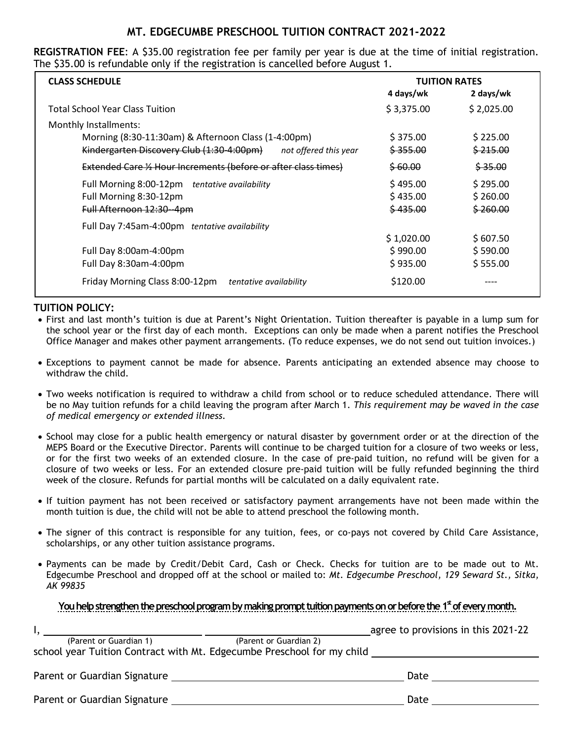### **MT. EDGECUMBE PRESCHOOL TUITION CONTRACT 2021-2022**

**REGISTRATION FEE**: A \$35.00 registration fee per family per year is due at the time of initial registration. The \$35.00 is refundable only if the registration is cancelled before August 1.

| <b>CLASS SCHEDULE</b>                                              | <b>TUITION RATES</b> |                     |
|--------------------------------------------------------------------|----------------------|---------------------|
|                                                                    | 4 days/wk            | 2 days/wk           |
| <b>Total School Year Class Tuition</b>                             | \$3,375.00           | \$2,025.00          |
| Monthly Installments:                                              |                      |                     |
| Morning (8:30-11:30am) & Afternoon Class (1-4:00pm)                | \$375.00             | \$225.00            |
| Kindergarten Discovery Club (1:30-4:00pm)<br>not offered this year | <del>\$355.00</del>  | <del>\$215.00</del> |
| Extended Care 1/2 Hour Increments (before or after class times)    | \$60.00              | \$35.00             |
| Full Morning 8:00-12pm tentative availability                      | \$495.00             | \$295.00            |
| Full Morning 8:30-12pm                                             | \$435.00             | \$260.00            |
| Full Afternoon 12:30 - 4pm                                         | \$435.00             | <del>\$260.00</del> |
| Full Day 7:45am-4:00pm tentative availability                      |                      |                     |
|                                                                    | \$1,020.00           | \$607.50            |
| Full Day 8:00am-4:00pm                                             | \$990.00             | \$590.00            |
| Full Day 8:30am-4:00pm                                             | \$935.00             | \$555.00            |
| Friday Morning Class 8:00-12pm<br>tentative availability           | \$120.00             |                     |

#### **TUITION POLICY:**

- First and last month's tuition is due at Parent's Night Orientation. Tuition thereafter is payable in a lump sum for the school year or the first day of each month. Exceptions can only be made when a parent notifies the Preschool Office Manager and makes other payment arrangements. (To reduce expenses, we do not send out tuition invoices.)
- Exceptions to payment cannot be made for absence. Parents anticipating an extended absence may choose to withdraw the child.
- Two weeks notification is required to withdraw a child from school or to reduce scheduled attendance. There will be no May tuition refunds for a child leaving the program after March 1. *This requirement may be waved in the case of medical emergency or extended illness.*
- School may close for a public health emergency or natural disaster by government order or at the direction of the MEPS Board or the Executive Director. Parents will continue to be charged tuition for a closure of two weeks or less, or for the first two weeks of an extended closure. In the case of pre-paid tuition, no refund will be given for a closure of two weeks or less. For an extended closure pre-paid tuition will be fully refunded beginning the third week of the closure. Refunds for partial months will be calculated on a daily equivalent rate.
- If tuition payment has not been received or satisfactory payment arrangements have not been made within the month tuition is due, the child will not be able to attend preschool the following month.
- The signer of this contract is responsible for any tuition, fees, or co-pays not covered by Child Care Assistance, scholarships, or any other tuition assistance programs.
- Payments can be made by Credit/Debit Card, Cash or Check. Checks for tuition are to be made out to Mt. Edgecumbe Preschool and dropped off at the school or mailed to: *Mt. Edgecumbe Preschool, 129 Seward St., Sitka, AK 99835*

#### You help strengthen the preschool program by making prompt tuition payments on or before the 1<sup>st</sup> of every month.

|                                                                        | agree to provisions in this 2021-22 |
|------------------------------------------------------------------------|-------------------------------------|
| (Parent or Guardian 1)                                                 | (Parent or Guardian 2)              |
| school year Tuition Contract with Mt. Edgecumbe Preschool for my child |                                     |
|                                                                        |                                     |
| Parent or Guardian Signature                                           | Date                                |
|                                                                        |                                     |
| Parent or Guardian Signature                                           | Date                                |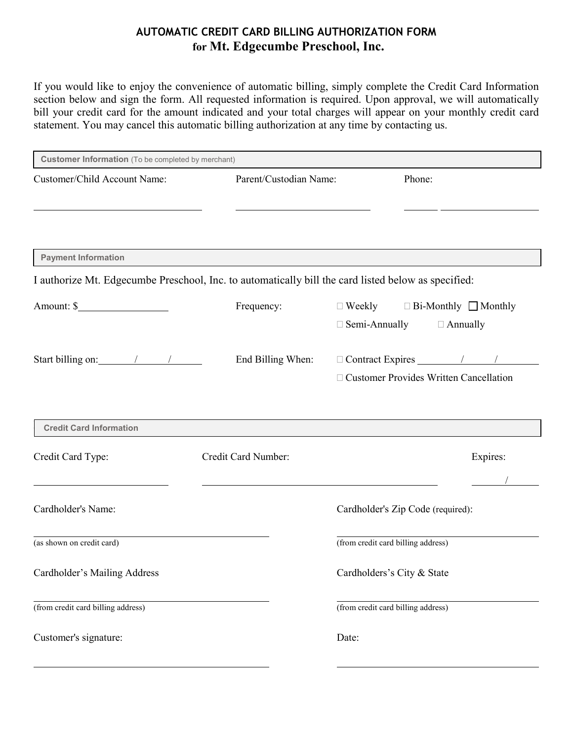## **AUTOMATIC CREDIT CARD BILLING AUTHORIZATION FORM for Mt. Edgecumbe Preschool, Inc.**

If you would like to enjoy the convenience of automatic billing, simply complete the Credit Card Information section below and sign the form. All requested information is required. Upon approval, we will automatically bill your credit card for the amount indicated and your total charges will appear on your monthly credit card statement. You may cancel this automatic billing authorization at any time by contacting us.

| <b>Customer Information</b> (To be completed by merchant)                                           |                        |                                                                                           |  |  |  |
|-----------------------------------------------------------------------------------------------------|------------------------|-------------------------------------------------------------------------------------------|--|--|--|
| Customer/Child Account Name:                                                                        | Parent/Custodian Name: | Phone:                                                                                    |  |  |  |
|                                                                                                     |                        |                                                                                           |  |  |  |
| <b>Payment Information</b>                                                                          |                        |                                                                                           |  |  |  |
| I authorize Mt. Edgecumbe Preschool, Inc. to automatically bill the card listed below as specified: |                        |                                                                                           |  |  |  |
| Amount: \$                                                                                          | Frequency:             | $\Box$ Weekly $\Box$ Bi-Monthly $\Box$ Monthly<br>$\Box$ Semi-Annually<br>$\Box$ Annually |  |  |  |
| Start billing on: $\frac{1}{\sqrt{2\pi}}$                                                           | End Billing When:      | □ Customer Provides Written Cancellation                                                  |  |  |  |
| <b>Credit Card Information</b>                                                                      |                        |                                                                                           |  |  |  |
| Credit Card Type:                                                                                   | Credit Card Number:    | Expires:                                                                                  |  |  |  |
| Cardholder's Name:                                                                                  |                        | Cardholder's Zip Code (required):                                                         |  |  |  |
| (as shown on credit card)                                                                           |                        | (from credit card billing address)                                                        |  |  |  |
| Cardholder's Mailing Address                                                                        |                        | Cardholders's City & State                                                                |  |  |  |
| (from credit card billing address)                                                                  |                        | (from credit card billing address)                                                        |  |  |  |
| Customer's signature:                                                                               |                        | Date:                                                                                     |  |  |  |